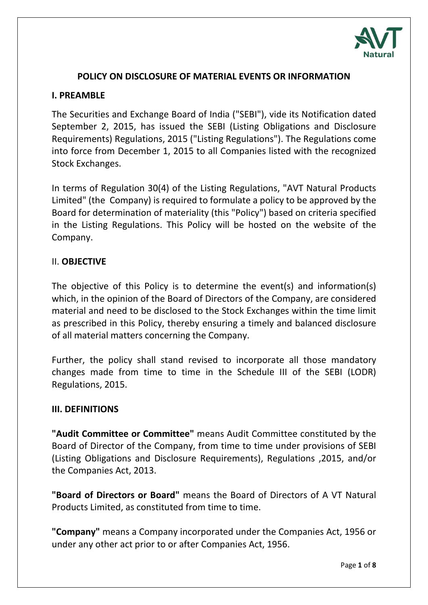

### **POLICY ON DISCLOSURE OF MATERIAL EVENTS OR INFORMATION**

### **I. PREAMBLE**

The Securities and Exchange Board of India ("SEBI"), vide its Notification dated September 2, 2015, has issued the SEBI (Listing Obligations and Disclosure Requirements) Regulations, 2015 ("Listing Regulations"). The Regulations come into force from December 1, 2015 to all Companies listed with the recognized Stock Exchanges.

In terms of Regulation 30(4) of the Listing Regulations, "AVT Natural Products Limited" (the Company) is required to formulate a policy to be approved by the Board for determination of materiality (this "Policy") based on criteria specified in the Listing Regulations. This Policy will be hosted on the website of the Company.

## II. **OBJECTIVE**

The objective of this Policy is to determine the event(s) and information(s) which, in the opinion of the Board of Directors of the Company, are considered material and need to be disclosed to the Stock Exchanges within the time limit as prescribed in this Policy, thereby ensuring a timely and balanced disclosure of all material matters concerning the Company.

Further, the policy shall stand revised to incorporate all those mandatory changes made from time to time in the Schedule III of the SEBI (LODR) Regulations, 2015.

### **III. DEFINITIONS**

**"Audit Committee or Committee"** means Audit Committee constituted by the Board of Director of the Company, from time to time under provisions of SEBI (Listing Obligations and Disclosure Requirements), Regulations ,2015, and/or the Companies Act, 2013.

**"Board of Directors or Board"** means the Board of Directors of A VT Natural Products Limited, as constituted from time to time.

**"Company"** means a Company incorporated under the Companies Act, 1956 or under any other act prior to or after Companies Act, 1956.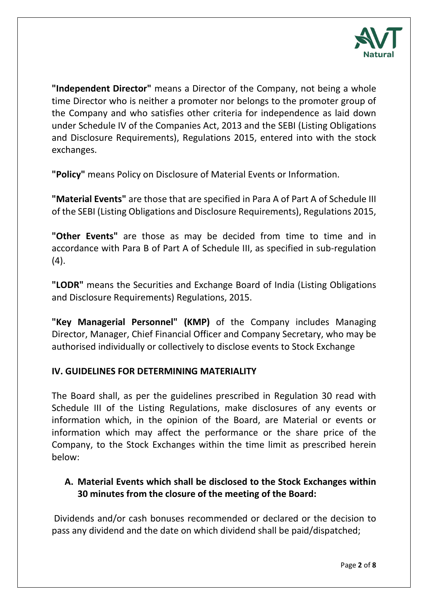

**"Independent Director"** means a Director of the Company, not being a whole time Director who is neither a promoter nor belongs to the promoter group of the Company and who satisfies other criteria for independence as laid down under Schedule IV of the Companies Act, 2013 and the SEBI (Listing Obligations and Disclosure Requirements), Regulations 2015, entered into with the stock exchanges.

**"Policy"** means Policy on Disclosure of Material Events or Information.

**"Material Events"** are those that are specified in Para A of Part A of Schedule III of the SEBI (Listing Obligations and Disclosure Requirements), Regulations 2015,

**"Other Events"** are those as may be decided from time to time and in accordance with Para B of Part A of Schedule III, as specified in sub-regulation  $(4).$ 

**"LODR"** means the Securities and Exchange Board of India (Listing Obligations and Disclosure Requirements) Regulations, 2015.

**"Key Managerial Personnel" (KMP)** of the Company includes Managing Director, Manager, Chief Financial Officer and Company Secretary, who may be authorised individually or collectively to disclose events to Stock Exchange

# **IV. GUIDELINES FOR DETERMINING MATERIALITY**

The Board shall, as per the guidelines prescribed in Regulation 30 read with Schedule III of the Listing Regulations, make disclosures of any events or information which, in the opinion of the Board, are Material or events or information which may affect the performance or the share price of the Company, to the Stock Exchanges within the time limit as prescribed herein below:

# **A. Material Events which shall be disclosed to the Stock Exchanges within 30 minutes from the closure of the meeting of the Board:**

Dividends and/or cash bonuses recommended or declared or the decision to pass any dividend and the date on which dividend shall be paid/dispatched;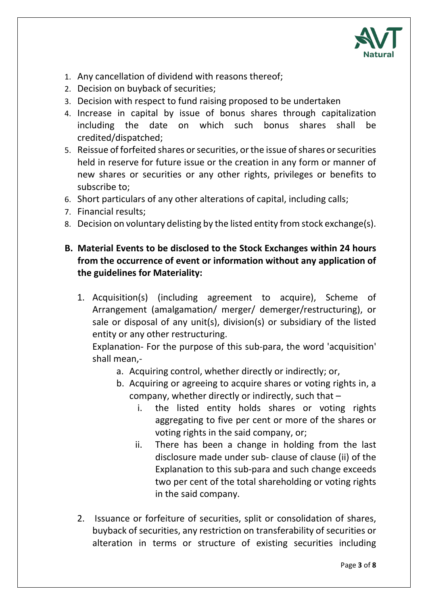

- 1. Any cancellation of dividend with reasons thereof;
- 2. Decision on buyback of securities;
- 3. Decision with respect to fund raising proposed to be undertaken
- 4. Increase in capital by issue of bonus shares through capitalization including the date on which such bonus shares shall be credited/dispatched;
- 5. Reissue of forfeited shares or securities, or the issue of shares or securities held in reserve for future issue or the creation in any form or manner of new shares or securities or any other rights, privileges or benefits to subscribe to;
- 6. Short particulars of any other alterations of capital, including calls;
- 7. Financial results;
- 8. Decision on voluntary delisting by the listed entity from stock exchange(s).

# **B. Material Events to be disclosed to the Stock Exchanges within 24 hours from the occurrence of event or information without any application of the guidelines for Materiality:**

1. Acquisition(s) (including agreement to acquire), Scheme of Arrangement (amalgamation/ merger/ demerger/restructuring), or sale or disposal of any unit(s), division(s) or subsidiary of the listed entity or any other restructuring.

Explanation- For the purpose of this sub-para, the word 'acquisition' shall mean,-

- a. Acquiring control, whether directly or indirectly; or,
- b. Acquiring or agreeing to acquire shares or voting rights in, a company, whether directly or indirectly, such that –
	- i. the listed entity holds shares or voting rights aggregating to five per cent or more of the shares or voting rights in the said company, or;
	- ii. There has been a change in holding from the last disclosure made under sub- clause of clause (ii) of the Explanation to this sub-para and such change exceeds two per cent of the total shareholding or voting rights in the said company.
- 2. Issuance or forfeiture of securities, split or consolidation of shares, buyback of securities, any restriction on transferability of securities or alteration in terms or structure of existing securities including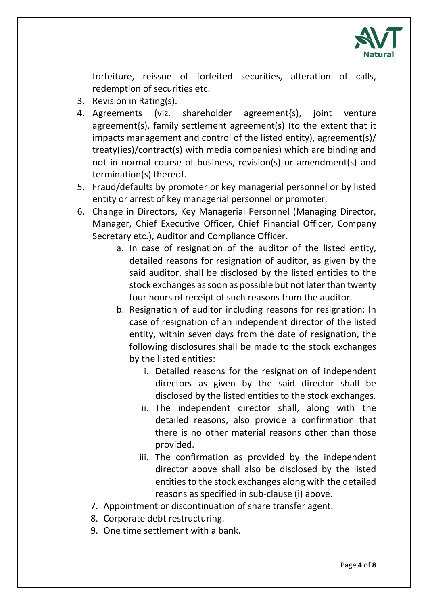

forfeiture, reissue of forfeited securities, alteration of calls, redemption of securities etc.

- 3. Revision in Rating(s).
- 4. Agreements (viz. shareholder agreement{s), joint venture agreement{s), family settlement agreement(s) (to the extent that it impacts management and control of the listed entity), agreement(s)/ treaty(ies)/contract(s) with media companies) which are binding and not in normal course of business, revision(s) or amendment(s) and termination(s) thereof.
- 5. Fraud/defaults by promoter or key managerial personnel or by listed entity or arrest of key managerial personnel or promoter.
- 6. Change in Directors, Key Managerial Personnel (Managing Director, Manager, Chief Executive Officer, Chief Financial Officer, Company Secretary etc.), Auditor and Compliance Officer.
	- a. In case of resignation of the auditor of the listed entity, detailed reasons for resignation of auditor, as given by the said auditor, shall be disclosed by the listed entities to the stock exchanges as soon as possible but not later than twenty four hours of receipt of such reasons from the auditor.
	- b. Resignation of auditor including reasons for resignation: In case of resignation of an independent director of the listed entity, within seven days from the date of resignation, the following disclosures shall be made to the stock exchanges by the listed entities:
		- i. Detailed reasons for the resignation of independent directors as given by the said director shall be disclosed by the listed entities to the stock exchanges.
		- ii. The independent director shall, along with the detailed reasons, also provide a confirmation that there is no other material reasons other than those provided.
		- iii. The confirmation as provided by the independent director above shall also be disclosed by the listed entities to the stock exchanges along with the detailed reasons as specified in sub-clause (i) above.
	- 7. Appointment or discontinuation of share transfer agent.
	- 8. Corporate debt restructuring.
	- 9. One time settlement with a bank.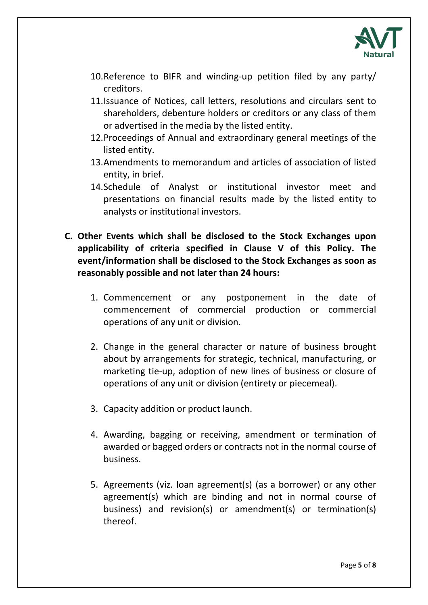

- 10.Reference to BIFR and winding-up petition filed by any party/ creditors.
- 11.Issuance of Notices, call letters, resolutions and circulars sent to shareholders, debenture holders or creditors or any class of them or advertised in the media by the listed entity.
- 12.Proceedings of Annual and extraordinary general meetings of the listed entity.
- 13.Amendments to memorandum and articles of association of listed entity, in brief.
- 14.Schedule of Analyst or institutional investor meet and presentations on financial results made by the listed entity to analysts or institutional investors.
- **C. Other Events which shall be disclosed to the Stock Exchanges upon applicability of criteria specified in Clause V of this Policy. The event/information shall be disclosed to the Stock Exchanges as soon as reasonably possible and not later than 24 hours:**
	- 1. Commencement or any postponement in the date of commencement of commercial production or commercial operations of any unit or division.
	- 2. Change in the general character or nature of business brought about by arrangements for strategic, technical, manufacturing, or marketing tie-up, adoption of new lines of business or closure of operations of any unit or division (entirety or piecemeal).
	- 3. Capacity addition or product launch.
	- 4. Awarding, bagging or receiving, amendment or termination of awarded or bagged orders or contracts not in the normal course of business.
	- 5. Agreements (viz. loan agreement(s) (as a borrower) or any other agreement(s) which are binding and not in normal course of business) and revision(s) or amendment(s) or termination(s) thereof.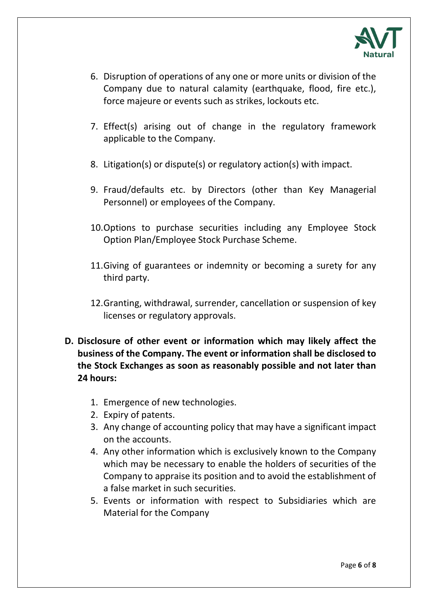

- 6. Disruption of operations of any one or more units or division of the Company due to natural calamity (earthquake, flood, fire etc.), force majeure or events such as strikes, lockouts etc.
- 7. Effect(s) arising out of change in the regulatory framework applicable to the Company.
- 8. Litigation(s) or dispute(s) or regulatory action(s) with impact.
- 9. Fraud/defaults etc. by Directors (other than Key Managerial Personnel) or employees of the Company.
- 10.Options to purchase securities including any Employee Stock Option Plan/Employee Stock Purchase Scheme.
- 11.Giving of guarantees or indemnity or becoming a surety for any third party.
- 12.Granting, withdrawal, surrender, cancellation or suspension of key licenses or regulatory approvals.
- **D. Disclosure of other event or information which may likely affect the business of the Company. The event or information shall be disclosed to the Stock Exchanges as soon as reasonably possible and not later than 24 hours:**
	- 1. Emergence of new technologies.
	- 2. Expiry of patents.
	- 3. Any change of accounting policy that may have a significant impact on the accounts.
	- 4. Any other information which is exclusively known to the Company which may be necessary to enable the holders of securities of the Company to appraise its position and to avoid the establishment of a false market in such securities.
	- 5. Events or information with respect to Subsidiaries which are Material for the Company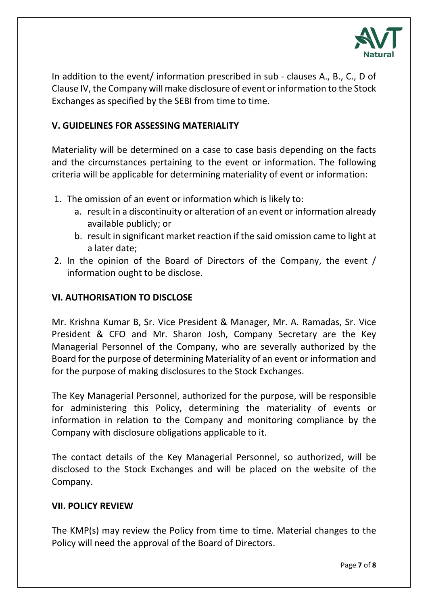

In addition to the event/ information prescribed in sub - clauses A., B., C., D of Clause IV, the Company will make disclosure of event or information to the Stock Exchanges as specified by the SEBI from time to time.

# **V. GUIDELINES FOR ASSESSING MATERIALITY**

Materiality will be determined on a case to case basis depending on the facts and the circumstances pertaining to the event or information. The following criteria will be applicable for determining materiality of event or information:

- 1. The omission of an event or information which is likely to:
	- a. result in a discontinuity or alteration of an event or information already available publicly; or
	- b. result in significant market reaction if the said omission came to light at a later date;
- 2. In the opinion of the Board of Directors of the Company, the event / information ought to be disclose.

# **VI. AUTHORISATION TO DISCLOSE**

Mr. Krishna Kumar B, Sr. Vice President & Manager, Mr. A. Ramadas, Sr. Vice President & CFO and Mr. Sharon Josh, Company Secretary are the Key Managerial Personnel of the Company, who are severally authorized by the Board for the purpose of determining Materiality of an event or information and for the purpose of making disclosures to the Stock Exchanges.

The Key Managerial Personnel, authorized for the purpose, will be responsible for administering this Policy, determining the materiality of events or information in relation to the Company and monitoring compliance by the Company with disclosure obligations applicable to it.

The contact details of the Key Managerial Personnel, so authorized, will be disclosed to the Stock Exchanges and will be placed on the website of the Company.

### **VII. POLICY REVIEW**

The KMP(s) may review the Policy from time to time. Material changes to the Policy will need the approval of the Board of Directors.